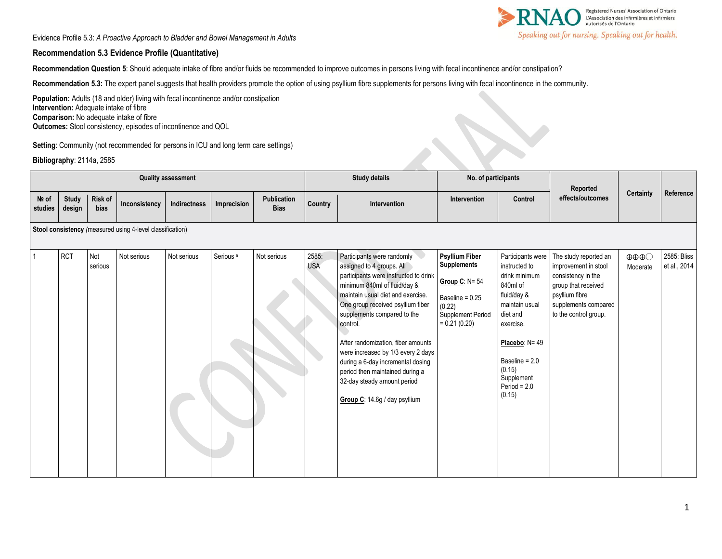Registered Nurses' Association of Ontario<br>L'Association des infirmières et infirmiers<br>autorisés de l'Ontario Speaking out for nursing. Speaking out for health.

Evidence Profile 5.3: *A Proactive Approach to Bladder and Bowel Management in Adults* 

#### **Recommendation 5.3 Evidence Profile (Quantitative)**

**Recommendation Question 5**: Should adequate intake of fibre and/or fluids be recommended to improve outcomes in persons living with fecal incontinence and/or constipation?

**Recommendation 5.3:** The expert panel suggests that health providers promote the option of using psyllium fibre supplements for persons living with fecal incontinence in the community.

Population: Adults (18 and older) living with fecal incontinence and/or constipation **Intervention:** Adequate intake of fibre **Comparison:** No adequate intake of fibre **Outcomes:** Stool consistency, episodes of incontinence and QOL

**Setting**: Community (not recommended for persons in ICU and long term care settings)

**Bibliography**: 2114a, 2585

| <b>Quality assessment</b>                                 |                        |                 |               |              |                      |                            |                     | <b>Study details</b>                                                                                                                                                                                                                                                                                                                                                                                                                                                      | No. of participants                                                                                                                  |                                                                                                                                                                                                                   | Reported                                                                                                                                                      |                                             |                             |
|-----------------------------------------------------------|------------------------|-----------------|---------------|--------------|----------------------|----------------------------|---------------------|---------------------------------------------------------------------------------------------------------------------------------------------------------------------------------------------------------------------------------------------------------------------------------------------------------------------------------------------------------------------------------------------------------------------------------------------------------------------------|--------------------------------------------------------------------------------------------------------------------------------------|-------------------------------------------------------------------------------------------------------------------------------------------------------------------------------------------------------------------|---------------------------------------------------------------------------------------------------------------------------------------------------------------|---------------------------------------------|-----------------------------|
| Nº of<br>studies                                          | <b>Study</b><br>design | Risk of<br>bias | Inconsistency | Indirectness | Imprecision          | Publication<br><b>Bias</b> | Country             | Intervention                                                                                                                                                                                                                                                                                                                                                                                                                                                              | Intervention                                                                                                                         | Control                                                                                                                                                                                                           | effects/outcomes                                                                                                                                              | Certainty                                   | Reference                   |
| Stool consistency (measured using 4-level classification) |                        |                 |               |              |                      |                            |                     |                                                                                                                                                                                                                                                                                                                                                                                                                                                                           |                                                                                                                                      |                                                                                                                                                                                                                   |                                                                                                                                                               |                                             |                             |
|                                                           | <b>RCT</b>             | Not<br>serious  | Not serious   | Not serious  | Serious <sup>a</sup> | Not serious                | 2585:<br><b>USA</b> | Participants were randomly<br>assigned to 4 groups. All<br>participants were instructed to drink<br>minimum 840ml of fluid/day &<br>maintain usual diet and exercise.<br>One group received psyllium fiber<br>supplements compared to the<br>control.<br>After randomization, fiber amounts<br>were increased by 1/3 every 2 days<br>during a 6-day incremental dosing<br>period then maintained during a<br>32-day steady amount period<br>Group C: 14.6g / day psyllium | <b>Psyllium Fiber</b><br><b>Supplements</b><br>Group C: $N = 54$<br>Baseline = 0.25<br>(0.22)<br>Supplement Period<br>$= 0.21(0.20)$ | Participants were<br>instructed to<br>drink minimum<br>840ml of<br>fluid/day &<br>maintain usual<br>diet and<br>exercise.<br>Placebo: N= 49<br>Baseline = 2.0<br>(0.15)<br>Supplement<br>Period = $2.0$<br>(0.15) | The study reported an<br>improvement in stool<br>consistency in the<br>group that received<br>psyllium fibre<br>supplements compared<br>to the control group. | $\oplus \oplus \oplus \bigcirc$<br>Moderate | 2585: Bliss<br>et al., 2014 |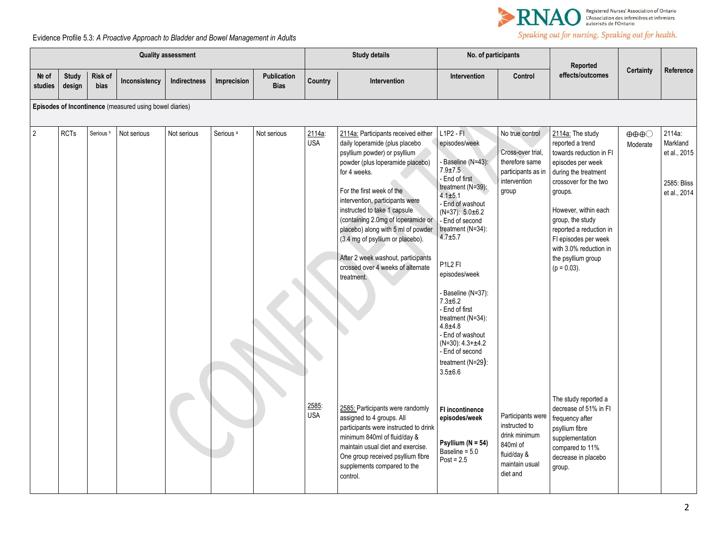

# Speaking out for nursing. Speaking out for health.

## Evidence Profile 5.3: *A Proactive Approach to Bladder and Bowel Management in Adults*

| <b>Quality assessment</b> |                        |                      |                                                         |              |                      |                                   | <b>Study details</b> |                                                                                                                                                                                                                                                                                                                                                                                                                                                                    | No. of participants                                                                                                                                                                                                                                                                                                                                                                                                                         |                                                                                                              | Reported                                                                                                                                                                                                                                                                                                          |                                             |                                                                   |
|---------------------------|------------------------|----------------------|---------------------------------------------------------|--------------|----------------------|-----------------------------------|----------------------|--------------------------------------------------------------------------------------------------------------------------------------------------------------------------------------------------------------------------------------------------------------------------------------------------------------------------------------------------------------------------------------------------------------------------------------------------------------------|---------------------------------------------------------------------------------------------------------------------------------------------------------------------------------------------------------------------------------------------------------------------------------------------------------------------------------------------------------------------------------------------------------------------------------------------|--------------------------------------------------------------------------------------------------------------|-------------------------------------------------------------------------------------------------------------------------------------------------------------------------------------------------------------------------------------------------------------------------------------------------------------------|---------------------------------------------|-------------------------------------------------------------------|
| No of<br>studies          | <b>Study</b><br>design | Risk of<br>bias      | Inconsistency                                           | Indirectness | Imprecision          | <b>Publication</b><br><b>Bias</b> | Country              | Intervention                                                                                                                                                                                                                                                                                                                                                                                                                                                       | Intervention                                                                                                                                                                                                                                                                                                                                                                                                                                | Control                                                                                                      | effects/outcomes                                                                                                                                                                                                                                                                                                  | <b>Certainty</b>                            | Reference                                                         |
|                           |                        |                      | Episodes of Incontinence (measured using bowel diaries) |              |                      |                                   |                      |                                                                                                                                                                                                                                                                                                                                                                                                                                                                    |                                                                                                                                                                                                                                                                                                                                                                                                                                             |                                                                                                              |                                                                                                                                                                                                                                                                                                                   |                                             |                                                                   |
| $\overline{2}$            | <b>RCTs</b>            | Serious <sup>b</sup> | Not serious                                             | Not serious  | Serious <sup>a</sup> | Not serious                       | 2114a:<br><b>USA</b> | 2114a: Participants received either<br>daily loperamide (plus placebo<br>psyllium powder) or psyllium<br>powder (plus loperamide placebo)<br>for 4 weeks.<br>For the first week of the<br>intervention, participants were<br>instructed to take 1 capsule<br>(containing 2.0mg of loperamide or<br>placebo) along with 5 ml of powder<br>(3.4 mg of psyllium or placebo).<br>After 2 week washout, participants<br>crossed over 4 weeks of alternate<br>treatment. | $L1P2 - FI$<br>episodes/week<br>Baseline (N=43):<br>$7.9 + 7.5$<br>End of first<br>treatment (N=39):<br>$4.1 + 5.1$<br>End of washout<br>$(N=37): 5.0 \pm 6.2$<br>End of second<br>treatment $(N=34)$ :<br>$4.7 + 5.7$<br>P1L2 FI<br>episodes/week<br>Baseline (N=37):<br>$7.3 + 6.2$<br>End of first<br>treatment (N=34):<br>$4.8 + 4.8$<br>End of washout<br>$(N=30): 4.3+±4.2$<br>End of second<br>treatment $(N=29)$ :<br>$3.5 \pm 6.6$ | No true control<br>Cross-over trial,<br>therefore same<br>participants as in<br>intervention<br>group        | 2114a: The study<br>reported a trend<br>towards reduction in FI<br>episodes per week<br>during the treatment<br>crossover for the two<br>groups.<br>However, within each<br>group, the study<br>reported a reduction in<br>FI episodes per week<br>with 3.0% reduction in<br>the psyllium group<br>$(p = 0.03)$ . | $\oplus \oplus \oplus \bigcirc$<br>Moderate | 2114a:<br>Markland<br>et al., 2015<br>2585: Bliss<br>et al., 2014 |
|                           |                        |                      |                                                         |              |                      |                                   | 2585:<br><b>USA</b>  | 2585: Participants were randomly<br>assigned to 4 groups. All<br>participants were instructed to drink<br>minimum 840ml of fluid/day &<br>maintain usual diet and exercise.<br>One group received psyllium fibre<br>supplements compared to the<br>control.                                                                                                                                                                                                        | <b>FI</b> incontinence<br>episodes/week<br>Psyllium ( $N = 54$ )<br>Baseline = 5.0<br>$Post = 2.5$                                                                                                                                                                                                                                                                                                                                          | Participants were<br>instructed to<br>drink minimum<br>840ml of<br>fluid/day &<br>maintain usual<br>diet and | The study reported a<br>decrease of 51% in FI<br>frequency after<br>psyllium fibre<br>supplementation<br>compared to 11%<br>decrease in placebo<br>group.                                                                                                                                                         |                                             |                                                                   |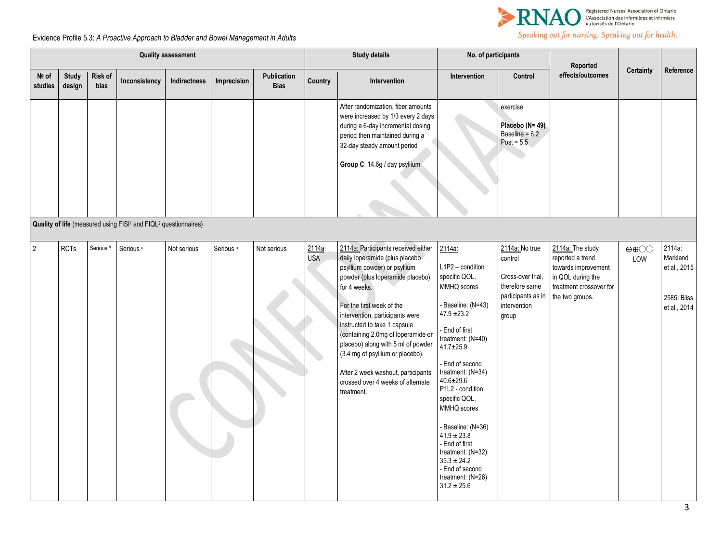

# Evidence Profile 5.3: *A Proactive Approach to Bladder and Bowel Management in Adults*

| <b>Quality assessment</b> |                        |                        |                                                                                         |              |                      |                            |                      | <b>Study details</b>                                                                                                                                                                                                                                                                                                                                                                                                                                               | No. of participants                                                                                                                                                                                                                                                                                                                                                                                                                |                                                                                                                 | Reported                                                                                                                       |                                          |                                                                   |
|---------------------------|------------------------|------------------------|-----------------------------------------------------------------------------------------|--------------|----------------------|----------------------------|----------------------|--------------------------------------------------------------------------------------------------------------------------------------------------------------------------------------------------------------------------------------------------------------------------------------------------------------------------------------------------------------------------------------------------------------------------------------------------------------------|------------------------------------------------------------------------------------------------------------------------------------------------------------------------------------------------------------------------------------------------------------------------------------------------------------------------------------------------------------------------------------------------------------------------------------|-----------------------------------------------------------------------------------------------------------------|--------------------------------------------------------------------------------------------------------------------------------|------------------------------------------|-------------------------------------------------------------------|
| No of<br>studies          | <b>Study</b><br>design | Risk of<br><b>bias</b> | Inconsistency                                                                           | Indirectness | Imprecision          | Publication<br><b>Bias</b> | Country              | Intervention                                                                                                                                                                                                                                                                                                                                                                                                                                                       | Intervention                                                                                                                                                                                                                                                                                                                                                                                                                       | Control                                                                                                         | effects/outcomes                                                                                                               | <b>Certainty</b>                         | Reference                                                         |
|                           |                        |                        |                                                                                         |              |                      |                            |                      | After randomization, fiber amounts<br>were increased by 1/3 every 2 days<br>during a 6-day incremental dosing<br>period then maintained during a<br>32-day steady amount period<br>Group C: 14.6g / day psyllium                                                                                                                                                                                                                                                   |                                                                                                                                                                                                                                                                                                                                                                                                                                    | exercise.<br>Placebo (N= 49)<br>Baseline = $6.2$<br>Post = $5.5$                                                |                                                                                                                                |                                          |                                                                   |
|                           |                        |                        | Quality of life (measured using FISI <sup>1</sup> and FIQL <sup>2</sup> questionnaires) |              |                      |                            |                      |                                                                                                                                                                                                                                                                                                                                                                                                                                                                    |                                                                                                                                                                                                                                                                                                                                                                                                                                    |                                                                                                                 |                                                                                                                                |                                          |                                                                   |
| $\overline{2}$            | <b>RCTs</b>            | Serious <sup>b</sup>   | Serious <sup>c</sup>                                                                    | Not serious  | Serious <sup>a</sup> | Not serious                | 2114a:<br><b>USA</b> | 2114a: Participants received either<br>daily loperamide (plus placebo<br>psyllium powder) or psyllium<br>powder (plus loperamide placebo)<br>for 4 weeks.<br>For the first week of the<br>intervention, participants were<br>instructed to take 1 capsule<br>(containing 2.0mg of loperamide or<br>placebo) along with 5 ml of powder<br>(3.4 mg of psyllium or placebo).<br>After 2 week washout, participants<br>crossed over 4 weeks of alternate<br>treatment. | 2114a:<br>L1P2 - condition<br>specific QOL,<br>MMHQ scores<br>Baseline: (N=43)<br>$47.9 \pm 23.2$<br>End of first<br>treatment: (N=40)<br>$41.7 \pm 25.9$<br>End of second<br>treatment: (N=34)<br>$40.6 \pm 29.6$<br>P1L2 - condition<br>specific QOL,<br>MMHQ scores<br>Baseline: (N=36)<br>$41.9 \pm 23.8$<br>- End of first<br>treatment: (N=32)<br>$35.3 \pm 24.2$<br>- End of second<br>treatment: (N=26)<br>$31.2 \pm 25.6$ | 2114a: No true<br>control<br>Cross-over trial,<br>therefore same<br>participants as in<br>intervention<br>group | 2114a: The study<br>reported a trend<br>towards improvement<br>in QOL during the<br>treatment crossover for<br>the two groups. | $\oplus \oplus \bigcirc \bigcirc$<br>LOW | 2114a:<br>Markland<br>et al., 2015<br>2585: Bliss<br>et al., 2014 |